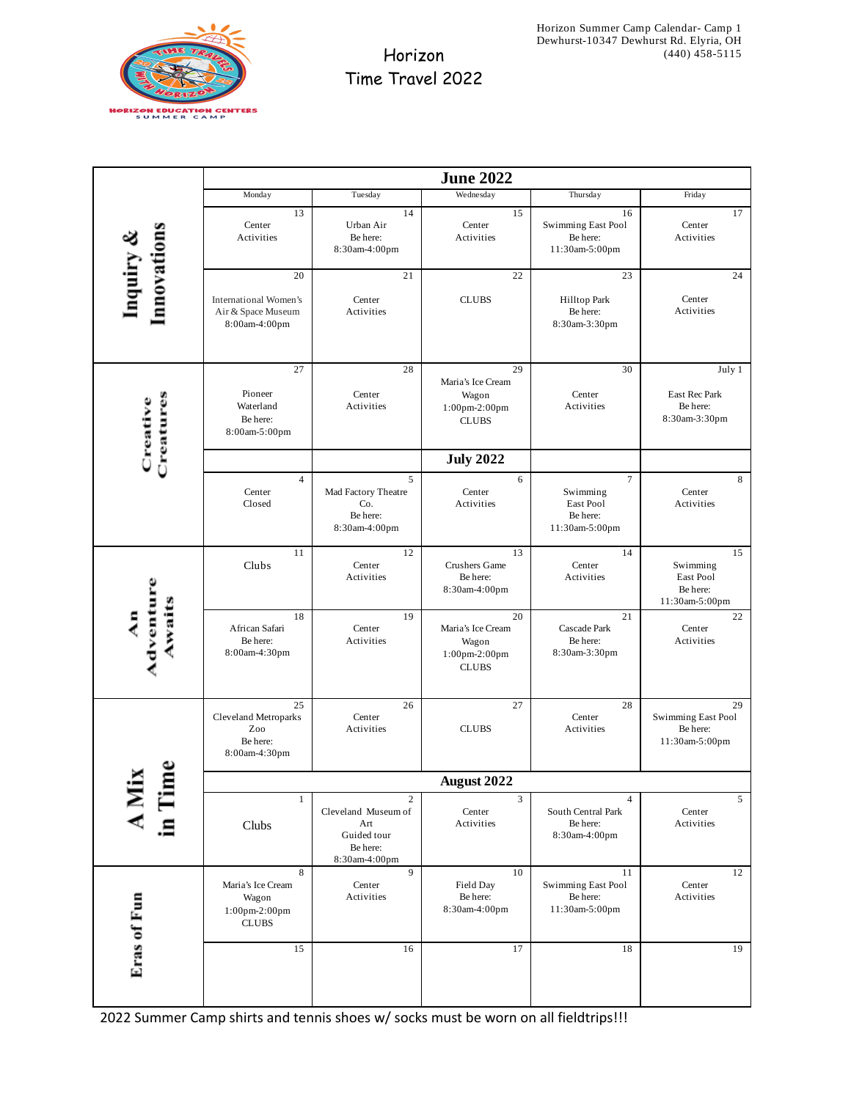

## Horizon Time Travel 2022

|                          | <b>June 2022</b>                                                      |                                                                                          |                                                                   |                                                          |                                                           |
|--------------------------|-----------------------------------------------------------------------|------------------------------------------------------------------------------------------|-------------------------------------------------------------------|----------------------------------------------------------|-----------------------------------------------------------|
|                          | Monday                                                                | Tuesday                                                                                  | Wednesday                                                         | Thursday                                                 | Friday                                                    |
| Inquiry &<br>Innovations | 13<br>Center<br>Activities                                            | 14<br>Urban Air<br>Be here:<br>8:30am-4:00pm                                             | 15<br>Center<br>Activities                                        | 16<br>Swimming East Pool<br>Be here:<br>11:30am-5:00pm   | 17<br>Center<br>Activities                                |
|                          | 20                                                                    | 21                                                                                       | 22                                                                | 23                                                       | 24                                                        |
|                          | International Women's<br>Air & Space Museum<br>8:00am-4:00pm          | Center<br>Activities                                                                     | <b>CLUBS</b>                                                      | Hilltop Park<br>Be here:<br>8:30am-3:30pm                | Center<br>Activities                                      |
| Creatures<br>Creative    | 27<br>Pioneer<br>Waterland<br>Be here:<br>8:00am-5:00pm               | 28<br>Center<br>Activities                                                               | 29<br>Maria's Ice Cream<br>Wagon<br>1:00pm-2:00pm<br><b>CLUBS</b> | 30<br>Center<br>Activities                               | July 1<br>East Rec Park<br>Be here:<br>8:30am-3:30pm      |
|                          |                                                                       |                                                                                          | <b>July 2022</b>                                                  |                                                          |                                                           |
|                          | $\overline{4}$<br>Center<br>Closed                                    | 5<br>Mad Factory Theatre<br>Co.<br>Be here:<br>8:30am-4:00pm                             | 6<br>Center<br>Activities                                         | 7<br>Swimming<br>East Pool<br>Be here:<br>11:30am-5:00pm | 8<br>Center<br>Activities                                 |
| Adventure<br>Awaits<br>ą | 11<br>Clubs                                                           | 12<br>Center<br>Activities                                                               | 13<br>Crushers Game<br>Be here:<br>8:30am-4:00pm                  | 14<br>Center<br>Activities                               | 15<br>Swimming<br>East Pool<br>Be here:<br>11:30am-5:00pm |
|                          | 18<br>African Safari<br>Be here:<br>8:00am-4:30pm                     | 19<br>Center<br>Activities                                                               | 20<br>Maria's Ice Cream<br>Wagon<br>1:00pm-2:00pm<br><b>CLUBS</b> | 21<br>Cascade Park<br>Be here:<br>8:30am-3:30pm          | 22<br>Center<br>Activities                                |
|                          | 25<br><b>Cleveland Metroparks</b><br>Zoo<br>Be here:<br>8:00am-4:30pm | 26<br>Center<br>Activities                                                               | 27<br><b>CLUBS</b>                                                | 28<br>Center<br>Activities                               | 29<br>Swimming East Pool<br>Be here:<br>11:30am-5:00pm    |
|                          | <b>August 2022</b>                                                    |                                                                                          |                                                                   |                                                          |                                                           |
|                          | $1\,$<br>Clubs                                                        | $\overline{2}$<br>Cleveland Museum of<br>Art<br>Guided tour<br>Be here:<br>8:30am-4:00pm | 3<br>Center<br>Activities                                         | 4<br>South Central Park<br>Be here:<br>8:30am-4:00pm     | 5<br>Center<br>Activities                                 |
| Eras of Fun              | 8<br>Maria's Ice Cream<br>Wagon<br>1:00pm-2:00pm<br><b>CLUBS</b>      | 9<br>Center<br>Activities                                                                | 10<br>Field Day<br>Be here:<br>8:30am-4:00pm                      | 11<br>Swimming East Pool<br>Be here:<br>11:30am-5:00pm   | 12<br>Center<br>Activities                                |
|                          | 15                                                                    | 16                                                                                       | 17                                                                | 18                                                       | 19                                                        |

2022 Summer Camp shirts and tennis shoes w/ socks must be worn on all fieldtrips!!!